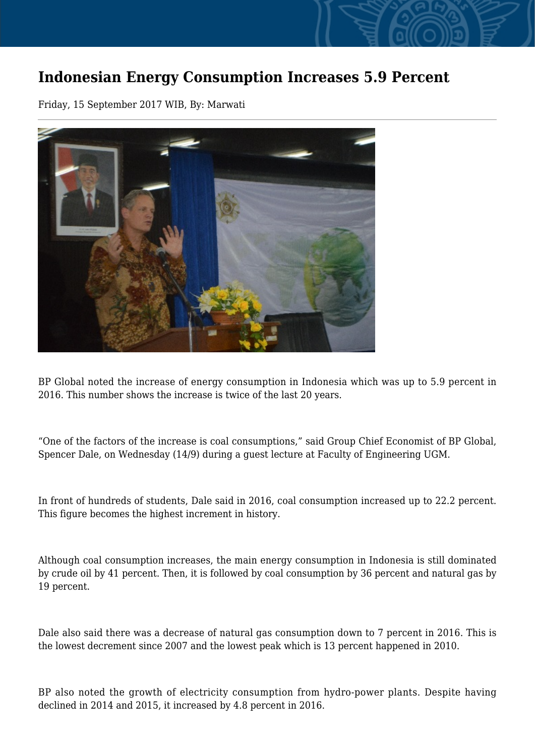## **Indonesian Energy Consumption Increases 5.9 Percent**

Friday, 15 September 2017 WIB, By: Marwati



BP Global noted the increase of energy consumption in Indonesia which was up to 5.9 percent in 2016. This number shows the increase is twice of the last 20 years.

"One of the factors of the increase is coal consumptions," said Group Chief Economist of BP Global, Spencer Dale, on Wednesday (14/9) during a guest lecture at Faculty of Engineering UGM.

In front of hundreds of students, Dale said in 2016, coal consumption increased up to 22.2 percent. This figure becomes the highest increment in history.

Although coal consumption increases, the main energy consumption in Indonesia is still dominated by crude oil by 41 percent. Then, it is followed by coal consumption by 36 percent and natural gas by 19 percent.

Dale also said there was a decrease of natural gas consumption down to 7 percent in 2016. This is the lowest decrement since 2007 and the lowest peak which is 13 percent happened in 2010.

BP also noted the growth of electricity consumption from hydro-power plants. Despite having declined in 2014 and 2015, it increased by 4.8 percent in 2016.